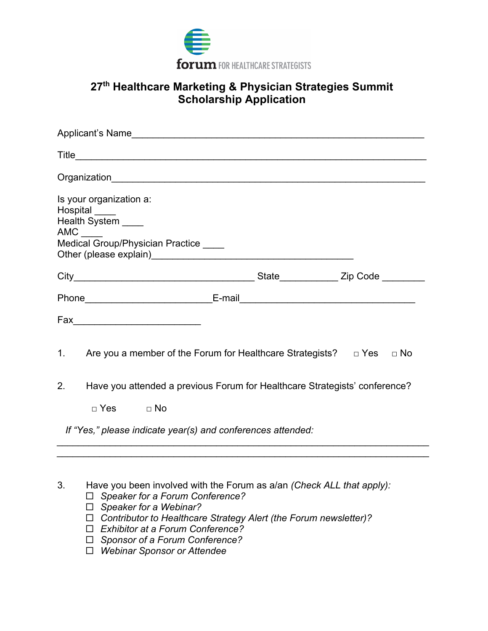

## **27 th Healthcare Marketing & Physician Strategies Summit Scholarship Application**

| Is your organization a:<br>Hospital ____<br>Health System ____<br>AMC<br>Medical Group/Physician Practice ____<br>State________________ Zip Code _________ |  |  |
|------------------------------------------------------------------------------------------------------------------------------------------------------------|--|--|
|                                                                                                                                                            |  |  |
|                                                                                                                                                            |  |  |
|                                                                                                                                                            |  |  |
|                                                                                                                                                            |  |  |
|                                                                                                                                                            |  |  |
|                                                                                                                                                            |  |  |
| 1. Are you a member of the Forum for Healthcare Strategists? $\Box$ Yes $\Box$ No                                                                          |  |  |
| Have you attended a previous Forum for Healthcare Strategists' conference?<br>2.                                                                           |  |  |
| $\Box$ Yes $\Box$ No                                                                                                                                       |  |  |
| If "Yes," please indicate year(s) and conferences attended:                                                                                                |  |  |

- 3. Have you been involved with the Forum as a/an *(Check ALL that apply):*
	- *Speaker for a Forum Conference?*
	- *Speaker for a Webinar?*
	- *Contributor to Healthcare Strategy Alert (the Forum newsletter)?*
	- *Exhibitor at a Forum Conference?*
	- *Sponsor of a Forum Conference?*
	- *Webinar Sponsor or Attendee*